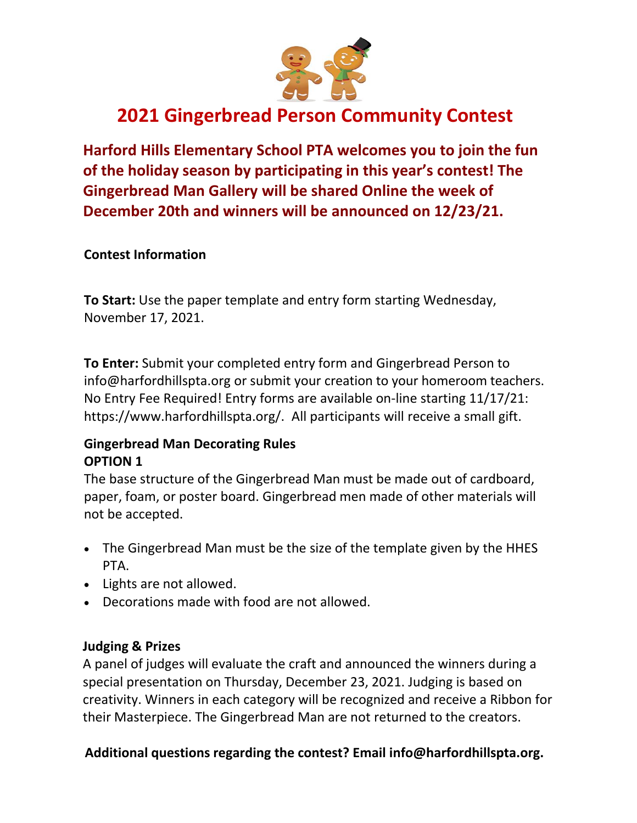

# **2021 Gingerbread Person Community Contest**

Harford Hills Elementary School PTA welcomes you to join the fun of the holiday season by participating in this year's contest! The **Gingerbread Man Gallery will be shared Online the week of** December 20th and winners will be announced on 12/23/21.

#### **Contest Information**

To Start: Use the paper template and entry form starting Wednesday, November 17, 2021.

To Enter: Submit your completed entry form and Gingerbread Person to info@harfordhillspta.org or submit your creation to your homeroom teachers. No Entry Fee Required! Entry forms are available on-line starting 11/17/21: https://www.harfordhillspta.org/. All participants will receive a small gift.

## **Gingerbread Man Decorating Rules OPTION 1**

The base structure of the Gingerbread Man must be made out of cardboard, paper, foam, or poster board. Gingerbread men made of other materials will not be accepted.

- The Gingerbread Man must be the size of the template given by the HHES PTA.
- Lights are not allowed.
- Decorations made with food are not allowed.

## **Judging & Prizes**

A panel of judges will evaluate the craft and announced the winners during a special presentation on Thursday, December 23, 2021. Judging is based on creativity. Winners in each category will be recognized and receive a Ribbon for their Masterpiece. The Gingerbread Man are not returned to the creators.

## Additional questions regarding the contest? Email info@harfordhillspta.org.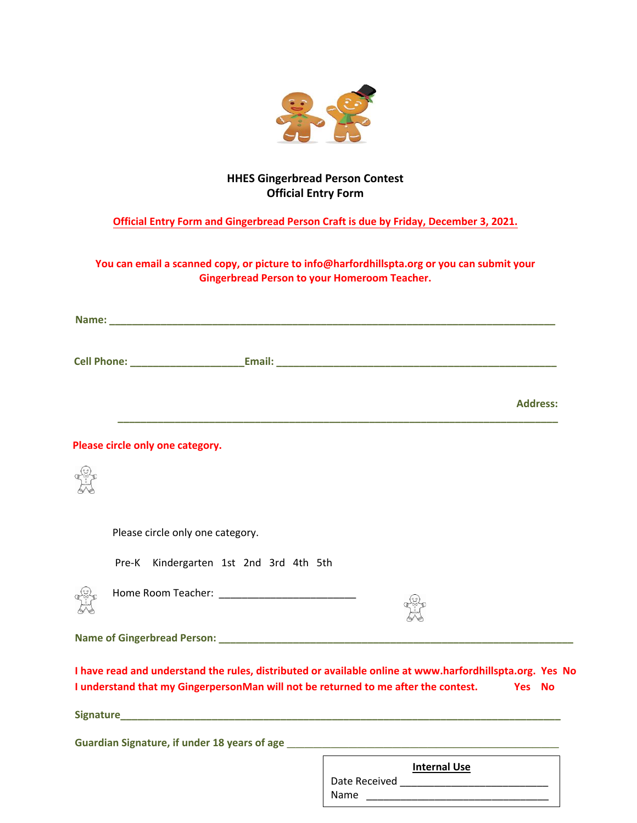

#### **HHES Gingerbread Person Contest Official Entry Form**

#### **Official Entry Form and Gingerbread Person Craft is due by Friday, December 3, 2021.**

#### **You can email a scanned copy, or picture to info@harfordhillspta.org or you can submit your Gingerbread Person to your Homeroom Teacher.**

|                                        | <b>Address:</b>                                                                                                                                                                                       |
|----------------------------------------|-------------------------------------------------------------------------------------------------------------------------------------------------------------------------------------------------------|
| Please circle only one category.       |                                                                                                                                                                                                       |
|                                        |                                                                                                                                                                                                       |
| Please circle only one category.       |                                                                                                                                                                                                       |
| Pre-K Kindergarten 1st 2nd 3rd 4th 5th |                                                                                                                                                                                                       |
|                                        |                                                                                                                                                                                                       |
|                                        |                                                                                                                                                                                                       |
|                                        | I have read and understand the rules, distributed or available online at www.harfordhillspta.org. Yes No<br>I understand that my GingerpersonMan will not be returned to me after the contest. Yes No |
|                                        |                                                                                                                                                                                                       |
|                                        |                                                                                                                                                                                                       |
|                                        | <b>Internal Use</b>                                                                                                                                                                                   |